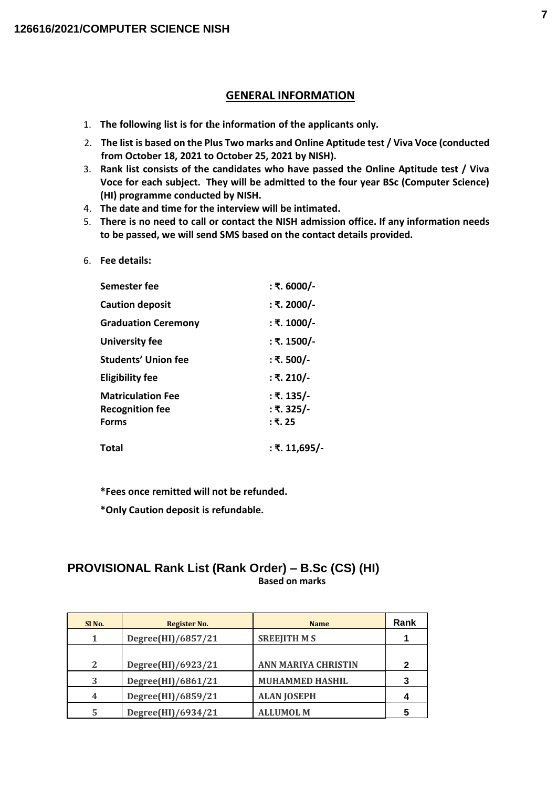#### **GENERAL INFORMATION**

- 1. **The following list is for the information of the applicants only.**
- 2. **The list is based on the Plus Two marks and Online Aptitude test / Viva Voce (conducted from October 18, 2021 to October 25, 2021 by NISH).**
- 3. **Rank list consists of the candidates who have passed the Online Aptitude test / Viva Voce for each subject. They will be admitted to the four year BSc (Computer Science) (HI) programme conducted by NISH.**
- 4. **The date and time for the interview will be intimated.**
- 5. **There is no need to call or contact the NISH admission office. If any information needs to be passed, we will send SMS based on the contact details provided.**
- 6. **Fee details:**

| Semester fee                                                       | : ₹. 6000/-                         |
|--------------------------------------------------------------------|-------------------------------------|
| <b>Caution deposit</b>                                             | : ₹. 2000/-                         |
| <b>Graduation Ceremony</b>                                         | : ₹. 1000/-                         |
| <b>University fee</b>                                              | : ₹. 1500/-                         |
| <b>Students' Union fee</b>                                         | : ₹. 500/-                          |
| Eligibility fee                                                    | : ₹. 210/-                          |
| <b>Matriculation Fee</b><br><b>Recognition fee</b><br><b>Forms</b> | : ₹. 135/-<br>: ₹. 325/-<br>∶ ₹. 25 |
| Total                                                              | : ₹. 11,695/-                       |

**\*Fees once remitted will not be refunded.**

**\*Only Caution deposit is refundable.**

#### **PROVISIONAL Rank List (Rank Order) – B.Sc (CS) (HI) Based on marks**

| SI <sub>No.</sub> | Register No.       | <b>Name</b>                | Rank        |
|-------------------|--------------------|----------------------------|-------------|
|                   | Degree(HI)/6857/21 | <b>SREEJITH MS</b>         |             |
|                   |                    |                            |             |
| 2                 | Degree(HI)/6923/21 | <b>ANN MARIYA CHRISTIN</b> | $\mathbf 2$ |
| 3                 | Degree(HI)/6861/21 | <b>MUHAMMED HASHIL</b>     | 3           |
| 4                 | Degree(HI)/6859/21 | <b>ALAN JOSEPH</b>         | 4           |
| 5                 | Degree(HI)/6934/21 | <b>ALLUMOL M</b>           | 5           |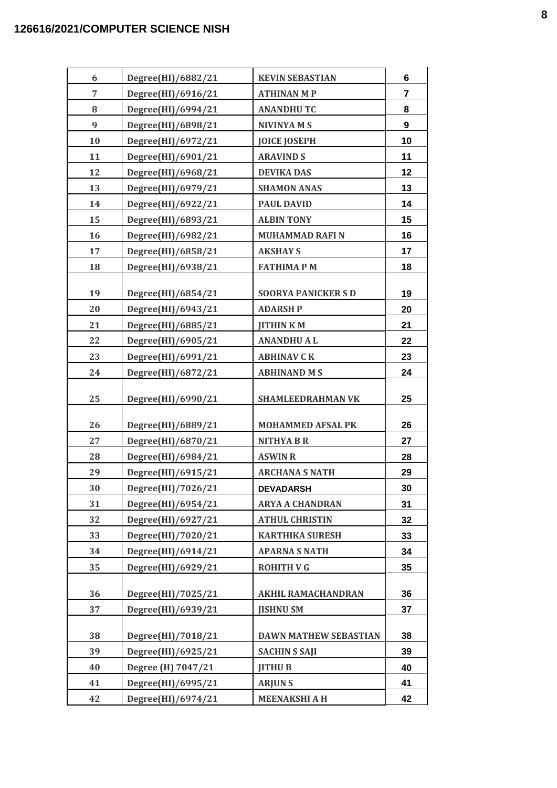| 6  | Degree(HI)/6882/21 | <b>KEVIN SEBASTIAN</b>       | 6              |
|----|--------------------|------------------------------|----------------|
| 7  | Degree(HI)/6916/21 | <b>ATHINAN M P</b>           | $\overline{7}$ |
| 8  | Degree(HI)/6994/21 | <b>ANANDHUTC</b>             | 8              |
| 9  | Degree(HI)/6898/21 | <b>NIVINYA M S</b>           | 9              |
| 10 | Degree(HI)/6972/21 | <b>JOICE JOSEPH</b>          | 10             |
| 11 | Degree(HI)/6901/21 | <b>ARAVIND S</b>             | 11             |
| 12 | Degree(HI)/6968/21 | <b>DEVIKA DAS</b>            | 12             |
| 13 | Degree(HI)/6979/21 | <b>SHAMON ANAS</b>           | 13             |
| 14 | Degree(HI)/6922/21 | <b>PAUL DAVID</b>            | 14             |
| 15 | Degree(HI)/6893/21 | <b>ALBIN TONY</b>            | 15             |
| 16 | Degree(HI)/6982/21 | <b>MUHAMMAD RAFI N</b>       | 16             |
| 17 | Degree(HI)/6858/21 | <b>AKSHAY S</b>              | 17             |
| 18 | Degree(HI)/6938/21 | <b>FATHIMAPM</b>             | 18             |
|    |                    |                              |                |
| 19 | Degree(HI)/6854/21 | <b>SOORYA PANICKERS D</b>    | 19             |
| 20 | Degree(HI)/6943/21 | <b>ADARSH P</b>              | 20             |
| 21 | Degree(HI)/6885/21 | <b>JITHINKM</b>              | 21             |
| 22 | Degree(HI)/6905/21 | <b>ANANDHUAL</b>             | 22             |
| 23 | Degree(HI)/6991/21 | <b>ABHINAV C K</b>           | 23             |
| 24 | Degree(HI)/6872/21 | <b>ABHINAND MS</b>           | 24             |
| 25 | Degree(HI)/6990/21 | <b>SHAMLEEDRAHMAN VK</b>     | 25             |
| 26 | Degree(HI)/6889/21 | <b>MOHAMMED AFSAL PK</b>     | 26             |
| 27 | Degree(HI)/6870/21 | <b>NITHYA B R</b>            | 27             |
| 28 | Degree(HI)/6984/21 | <b>ASWIN R</b>               | 28             |
| 29 | Degree(HI)/6915/21 | <b>ARCHANA S NATH</b>        | 29             |
| 30 | Degree(HI)/7026/21 | <b>DEVADARSH</b>             | 30             |
| 31 | Degree(HI)/6954/21 | <b>ARYA A CHANDRAN</b>       | 31             |
| 32 | Degree(HI)/6927/21 | <b>ATHUL CHRISTIN</b>        | 32             |
| 33 | Degree(HI)/7020/21 | <b>KARTHIKA SURESH</b>       | 33             |
| 34 | Degree(HI)/6914/21 | <b>APARNA S NATH</b>         | 34             |
| 35 | Degree(HI)/6929/21 | <b>ROHITH V G</b>            | 35             |
|    |                    |                              |                |
| 36 | Degree(HI)/7025/21 | <b>AKHIL RAMACHANDRAN</b>    | 36             |
| 37 | Degree(HI)/6939/21 | <b>JISHNU SM</b>             | 37             |
| 38 | Degree(HI)/7018/21 | <b>DAWN MATHEW SEBASTIAN</b> | 38             |
| 39 | Degree(HI)/6925/21 | <b>SACHIN S SAJI</b>         | 39             |
| 40 | Degree (H) 7047/21 | <b>JITHUB</b>                | 40             |
| 41 | Degree(HI)/6995/21 | <b>ARJUNS</b>                | 41             |
| 42 | Degree(HI)/6974/21 | <b>MEENAKSHI A H</b>         | 42             |
|    |                    |                              |                |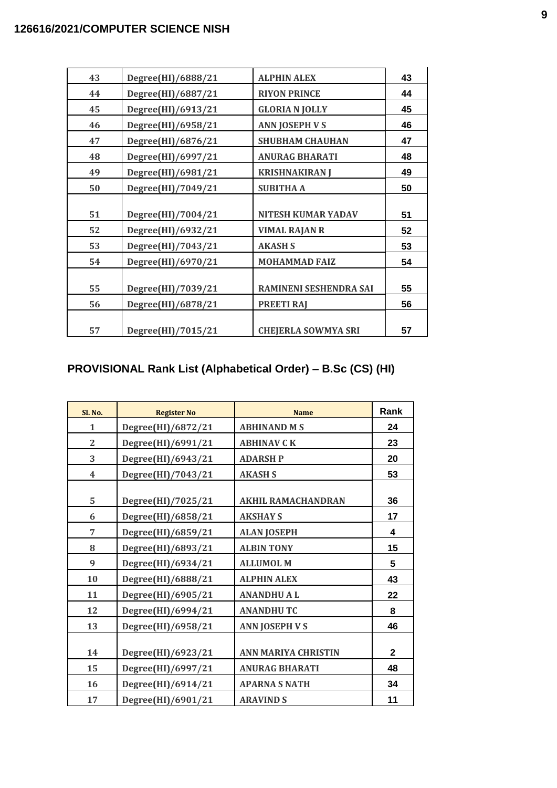| 43 | Degree(HI)/6888/21 | <b>ALPHIN ALEX</b>         | 43 |
|----|--------------------|----------------------------|----|
| 44 | Degree(HI)/6887/21 | <b>RIYON PRINCE</b>        | 44 |
| 45 | Degree(HI)/6913/21 | <b>GLORIA N JOLLY</b>      | 45 |
| 46 | Degree(HI)/6958/21 | <b>ANN JOSEPH V S</b>      | 46 |
| 47 | Degree(HI)/6876/21 | <b>SHUBHAM CHAUHAN</b>     | 47 |
| 48 | Degree(HI)/6997/21 | <b>ANURAG BHARATI</b>      | 48 |
| 49 | Degree(HI)/6981/21 | <b>KRISHNAKIRAN J</b>      | 49 |
| 50 | Degree(HI)/7049/21 | <b>SUBITHA A</b>           | 50 |
|    |                    |                            |    |
| 51 | Degree(HI)/7004/21 | <b>NITESH KUMAR YADAV</b>  | 51 |
| 52 | Degree(HI)/6932/21 | <b>VIMAL RAJAN R</b>       | 52 |
| 53 | Degree(HI)/7043/21 | <b>AKASH S</b>             | 53 |
| 54 | Degree(HI)/6970/21 | <b>MOHAMMAD FAIZ</b>       | 54 |
|    |                    |                            |    |
| 55 | Degree(HI)/7039/21 | RAMINENI SESHENDRA SAI     | 55 |
| 56 | Degree(HI)/6878/21 | <b>PREETI RAJ</b>          | 56 |
|    |                    |                            |    |
| 57 | Degree(HI)/7015/21 | <b>CHEJERLA SOWMYA SRI</b> | 57 |

# **PROVISIONAL Rank List (Alphabetical Order) – B.Sc (CS) (HI)**

| Sl. No.        | <b>Register No</b> | <b>Name</b>                | Rank         |
|----------------|--------------------|----------------------------|--------------|
| $\mathbf{1}$   | Degree(HI)/6872/21 | <b>ABHINAND MS</b>         | 24           |
| $\overline{2}$ | Degree(HI)/6991/21 | <b>ABHINAV C K</b>         | 23           |
| 3              | Degree(HI)/6943/21 | <b>ADARSH P</b>            | 20           |
| 4              | Degree(HI)/7043/21 | <b>AKASH S</b>             | 53           |
| 5              | Degree(HI)/7025/21 | <b>AKHIL RAMACHANDRAN</b>  | 36           |
| 6              | Degree(HI)/6858/21 | <b>AKSHAY S</b>            | 17           |
| 7              | Degree(HI)/6859/21 | <b>ALAN JOSEPH</b>         | 4            |
| 8              | Degree(HI)/6893/21 | <b>ALBIN TONY</b>          | 15           |
| 9              | Degree(HI)/6934/21 | <b>ALLUMOL M</b>           | 5            |
| 10             | Degree(HI)/6888/21 | <b>ALPHIN ALEX</b>         | 43           |
| 11             | Degree(HI)/6905/21 | <b>ANANDHUAL</b>           | 22           |
| 12             | Degree(HI)/6994/21 | <b>ANANDHUTC</b>           | 8            |
| 13             | Degree(HI)/6958/21 | <b>ANN JOSEPH V S</b>      | 46           |
| 14             | Degree(HI)/6923/21 | <b>ANN MARIYA CHRISTIN</b> | $\mathbf{2}$ |
| 15             | Degree(HI)/6997/21 | <b>ANURAG BHARATI</b>      | 48           |
| 16             | Degree(HI)/6914/21 | <b>APARNA S NATH</b>       | 34           |
| 17             | Degree(HI)/6901/21 | <b>ARAVIND S</b>           | 11           |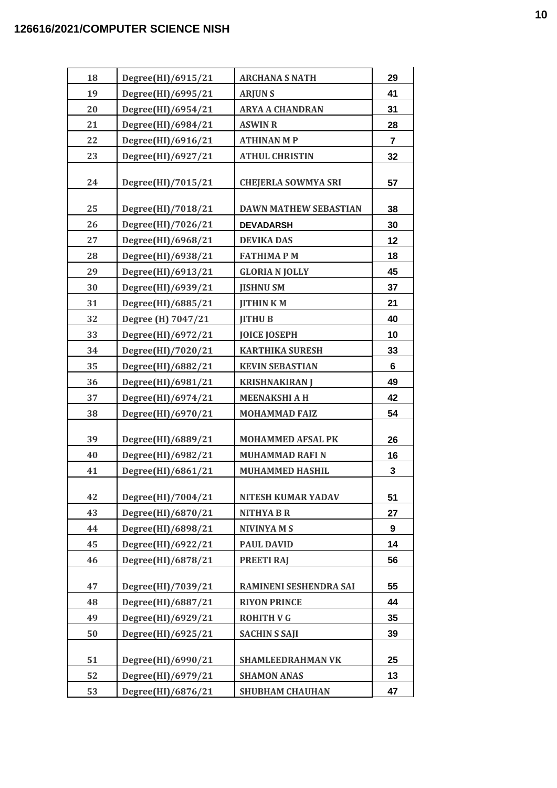| 18 | Degree(HI)/6915/21 | <b>ARCHANA S NATH</b>        | 29             |
|----|--------------------|------------------------------|----------------|
| 19 | Degree(HI)/6995/21 | <b>ARJUNS</b>                | 41             |
| 20 | Degree(HI)/6954/21 | <b>ARYA A CHANDRAN</b>       | 31             |
| 21 | Degree(HI)/6984/21 | <b>ASWIN R</b>               | 28             |
| 22 | Degree(HI)/6916/21 | <b>ATHINAN M P</b>           | $\overline{7}$ |
| 23 | Degree(HI)/6927/21 | <b>ATHUL CHRISTIN</b>        | 32             |
| 24 | Degree(HI)/7015/21 | <b>CHEJERLA SOWMYA SRI</b>   | 57             |
| 25 | Degree(HI)/7018/21 | <b>DAWN MATHEW SEBASTIAN</b> | 38             |
| 26 | Degree(HI)/7026/21 | <b>DEVADARSH</b>             | 30             |
| 27 | Degree(HI)/6968/21 | <b>DEVIKA DAS</b>            | 12             |
| 28 | Degree(HI)/6938/21 | <b>FATHIMAPM</b>             | 18             |
| 29 | Degree(HI)/6913/21 | <b>GLORIA N JOLLY</b>        | 45             |
| 30 | Degree(HI)/6939/21 | <b>IISHNU SM</b>             | 37             |
| 31 | Degree(HI)/6885/21 | <b>JITHINKM</b>              | 21             |
| 32 | Degree (H) 7047/21 | <b>JITHU B</b>               | 40             |
| 33 | Degree(HI)/6972/21 | <b>JOICE JOSEPH</b>          | 10             |
| 34 | Degree(HI)/7020/21 | <b>KARTHIKA SURESH</b>       | 33             |
| 35 | Degree(HI)/6882/21 | <b>KEVIN SEBASTIAN</b>       | 6              |
| 36 | Degree(HI)/6981/21 | <b>KRISHNAKIRAN J</b>        | 49             |
| 37 | Degree(HI)/6974/21 | <b>MEENAKSHI A H</b>         | 42             |
| 38 | Degree(HI)/6970/21 | <b>MOHAMMAD FAIZ</b>         | 54             |
| 39 | Degree(HI)/6889/21 | <b>MOHAMMED AFSAL PK</b>     | 26             |
| 40 | Degree(HI)/6982/21 | <b>MUHAMMAD RAFI N</b>       | 16             |
| 41 | Degree(HI)/6861/21 | <b>MUHAMMED HASHIL</b>       | 3              |
| 42 | Degree(HI)/7004/21 | <b>NITESH KUMAR YADAV</b>    | 51             |
| 43 | Degree(HI)/6870/21 | <b>NITHYA B R</b>            | 27             |
| 44 | Degree(HI)/6898/21 | <b>NIVINYA M S</b>           | 9              |
| 45 | Degree(HI)/6922/21 | <b>PAUL DAVID</b>            | 14             |
| 46 | Degree(HI)/6878/21 | <b>PREETI RAJ</b>            | 56             |
| 47 | Degree(HI)/7039/21 | RAMINENI SESHENDRA SAI       | 55             |
| 48 | Degree(HI)/6887/21 | <b>RIYON PRINCE</b>          | 44             |
| 49 | Degree(HI)/6929/21 | <b>ROHITH V G</b>            | 35             |
| 50 | Degree(HI)/6925/21 | <b>SACHIN S SAJI</b>         | 39             |
|    |                    |                              |                |
| 51 | Degree(HI)/6990/21 | <b>SHAMLEEDRAHMAN VK</b>     | 25             |
| 52 | Degree(HI)/6979/21 | <b>SHAMON ANAS</b>           | 13             |
| 53 | Degree(HI)/6876/21 | <b>SHUBHAM CHAUHAN</b>       | 47             |